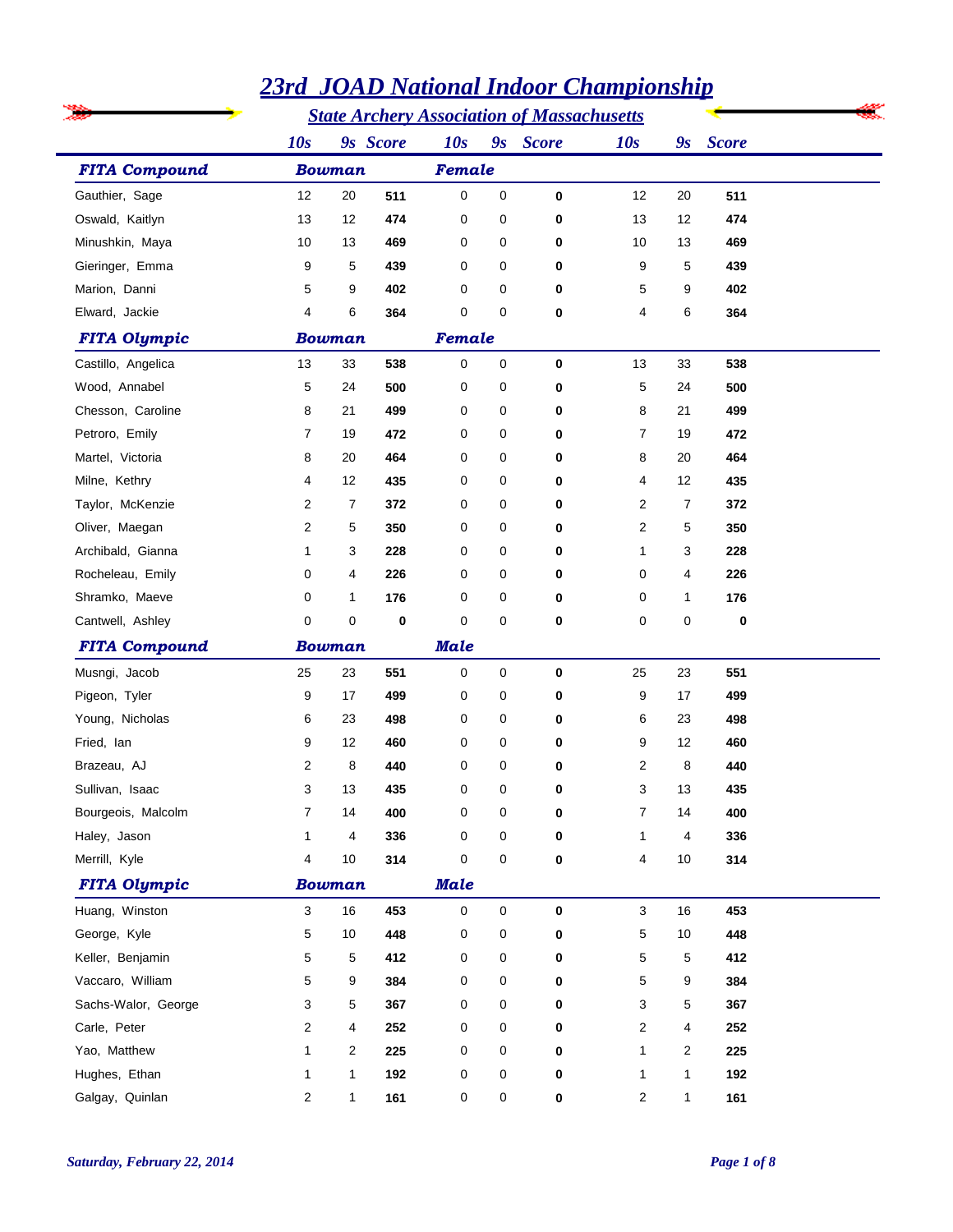|                      | <u> 3011 годинали набог статритытр</u>            |               |             |             |             |             |                |              |              |  |  |
|----------------------|---------------------------------------------------|---------------|-------------|-------------|-------------|-------------|----------------|--------------|--------------|--|--|
|                      | <b>State Archery Association of Massachusetts</b> |               |             |             |             |             |                |              |              |  |  |
|                      | 10s                                               |               | 9s Score    | 10s         |             | 9s Score    | 10s            | 9s           | <b>Score</b> |  |  |
| <b>FITA Compound</b> |                                                   | <b>Bowman</b> |             | Female      |             |             |                |              |              |  |  |
| Gauthier, Sage       | 12                                                | 20            | 511         | $\mathbf 0$ | $\mathbf 0$ | $\mathbf 0$ | 12             | 20           | 511          |  |  |
| Oswald, Kaitlyn      | 13                                                | 12            | 474         | 0           | 0           | 0           | 13             | 12           | 474          |  |  |
| Minushkin, Maya      | 10                                                | 13            | 469         | 0           | 0           | $\mathbf 0$ | 10             | 13           | 469          |  |  |
| Gieringer, Emma      | 9                                                 | 5             | 439         | 0           | 0           | 0           | 9              | 5            | 439          |  |  |
| Marion, Danni        | 5                                                 | 9             | 402         | 0           | 0           | 0           | 5              | 9            | 402          |  |  |
| Elward, Jackie       | 4                                                 | 6             | 364         | 0           | $\mathbf 0$ | $\bf{0}$    | 4              | 6            | 364          |  |  |
| <b>FITA Olympic</b>  |                                                   | <b>Bowman</b> |             | Female      |             |             |                |              |              |  |  |
| Castillo, Angelica   | 13                                                | 33            | 538         | 0           | $\pmb{0}$   | $\bf{0}$    | 13             | 33           | 538          |  |  |
| Wood, Annabel        | 5                                                 | 24            | 500         | 0           | 0           | 0           | 5              | 24           | 500          |  |  |
| Chesson, Caroline    | 8                                                 | 21            | 499         | 0           | 0           | 0           | 8              | 21           | 499          |  |  |
| Petroro, Emily       | 7                                                 | 19            | 472         | 0           | 0           | 0           | $\overline{7}$ | 19           | 472          |  |  |
| Martel, Victoria     | 8                                                 | 20            | 464         | 0           | 0           | 0           | 8              | 20           | 464          |  |  |
| Milne, Kethry        | 4                                                 | 12            | 435         | 0           | 0           | 0           | 4              | 12           | 435          |  |  |
| Taylor, McKenzie     | 2                                                 | 7             | 372         | 0           | 0           | 0           | 2              | 7            | 372          |  |  |
| Oliver, Maegan       | 2                                                 | 5             | 350         | 0           | 0           | 0           | 2              | 5            | 350          |  |  |
| Archibald, Gianna    | 1                                                 | 3             | 228         | 0           | 0           | 0           | 1              | 3            | 228          |  |  |
| Rocheleau, Emily     | 0                                                 | 4             | 226         | 0           | 0           | 0           | 0              | 4            | 226          |  |  |
| Shramko, Maeve       | 0                                                 | $\mathbf{1}$  | 176         | 0           | 0           | 0           | 0              | 1            | 176          |  |  |
| Cantwell, Ashley     | 0                                                 | 0             | 0           | 0           | $\mathbf 0$ | $\mathbf 0$ | 0              | 0            | $\bf{0}$     |  |  |
| <b>FITA Compound</b> |                                                   | <b>Bowman</b> |             | <b>Male</b> |             |             |                |              |              |  |  |
| Musngi, Jacob        | 25                                                | 23            | 551         | 0           | 0           | $\bf{0}$    | 25             | 23           | 551          |  |  |
| Pigeon, Tyler        | 9                                                 | 17            | 499         | 0           | 0           | 0           | 9              | 17           | 499          |  |  |
| Young, Nicholas      | 6                                                 | 23            | 498         | 0           | 0           | 0           | 6              | 23           | 498          |  |  |
| Fried, Ian           | 9                                                 | 12            | 460         | 0           | 0           | 0           | 9              | 12           | 460          |  |  |
| Brazeau, AJ          | 2                                                 | 8             | 440         | 0           | $\mathbf 0$ | 0           | 2              | 8            | 440          |  |  |
| Sullivan, Isaac      | 3                                                 | 13            | 435         | 0           | 0           | 0           | 3              | 13           | 435          |  |  |
| Bourgeois, Malcolm   | 7                                                 | 14            | 400         | 0           | 0           | 0           | 7              | 14           | 400          |  |  |
| Haley, Jason         | 1                                                 | 4             | 336         | 0           | 0           | 0           | $\mathbf 1$    | 4            | 336          |  |  |
| Merrill, Kyle        | 4                                                 | 10            | 314         | 0           | $\mathbf 0$ | $\bf{0}$    | 4              | 10           | 314          |  |  |
| <b>FITA Olympic</b>  | <b>Bowman</b>                                     |               | <b>Male</b> |             |             |             |                |              |              |  |  |
| Huang, Winston       | 3                                                 | 16            | 453         | $\mathbf 0$ | $\mathbf 0$ | $\mathbf 0$ | 3              | 16           | 453          |  |  |
| George, Kyle         | 5                                                 | 10            | 448         | 0           | 0           | 0           | 5              | 10           | 448          |  |  |
| Keller, Benjamin     | 5                                                 | 5             | 412         | 0           | 0           | 0           | 5              | 5            | 412          |  |  |
| Vaccaro, William     | 5                                                 | 9             | 384         | 0           | 0           | 0           | 5              | 9            | 384          |  |  |
| Sachs-Walor, George  | 3                                                 | 5             | 367         | 0           | 0           | 0           | 3              | 5            | 367          |  |  |
| Carle, Peter         | 2                                                 | 4             | 252         | 0           | 0           | 0           | 2              | 4            | 252          |  |  |
| Yao, Matthew         | 1                                                 | 2             | 225         | 0           | 0           | 0           | 1              | 2            | 225          |  |  |
| Hughes, Ethan        | 1                                                 | 1             | 192         | 0           | 0           | 0           | 1              | 1            | 192          |  |  |
| Galgay, Quinlan      | 2                                                 | $\mathbf{1}$  | 161         | 0           | 0           | 0           | 2              | $\mathbf{1}$ | 161          |  |  |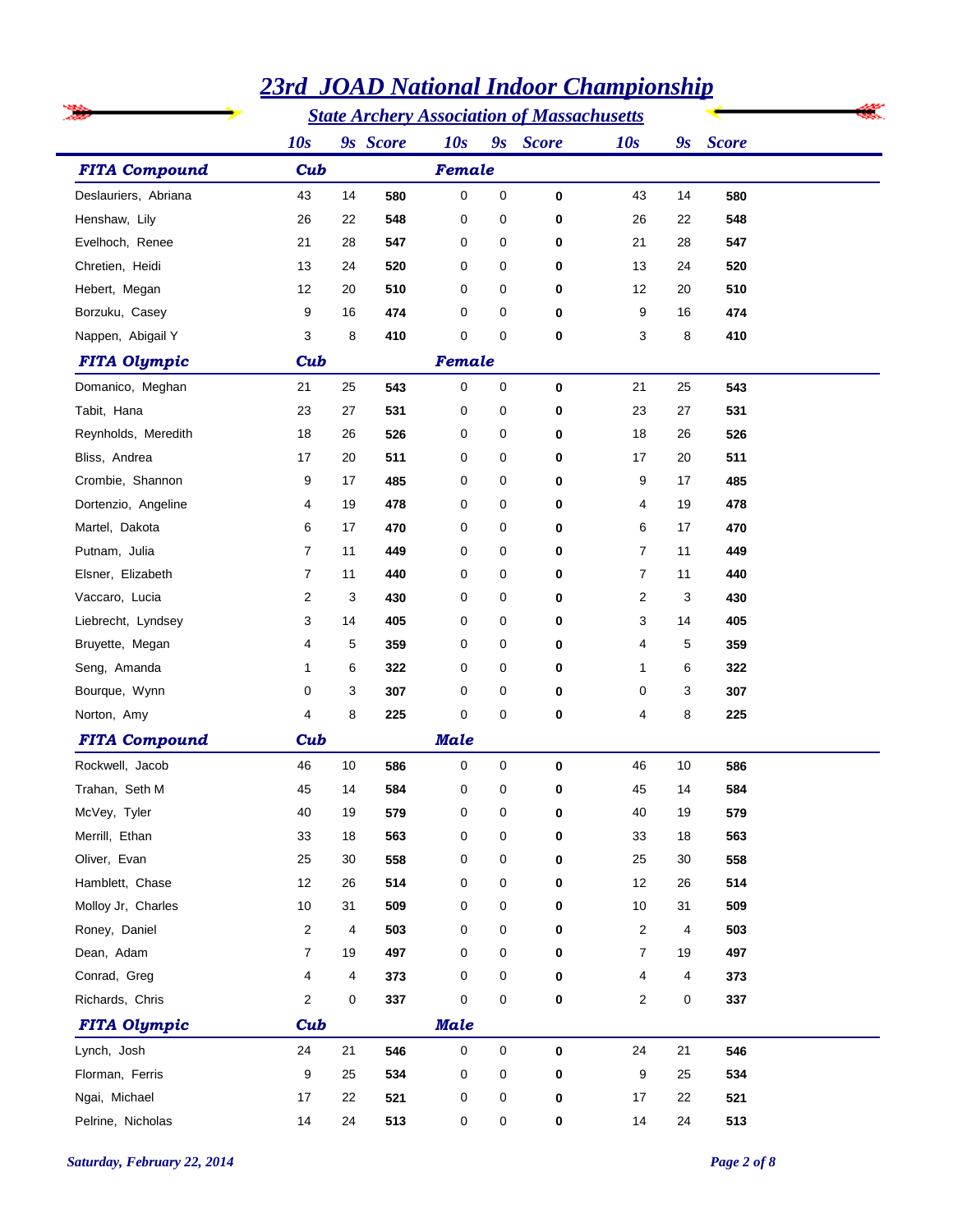|                      | <u>zji u</u> |    | <u>JUAD Nuuvuut Huvot</u> |             |   |                                                   | <u>Champtonship</u> |    |              |
|----------------------|--------------|----|---------------------------|-------------|---|---------------------------------------------------|---------------------|----|--------------|
|                      |              |    |                           |             |   | <b>State Archery Association of Massachusetts</b> |                     |    |              |
|                      | 10s          |    | 9s Score                  | 10s         |   | 9s Score                                          | 10s                 | 9s | <b>Score</b> |
| <b>FITA Compound</b> | Cub          |    |                           | Female      |   |                                                   |                     |    |              |
| Deslauriers, Abriana | 43           | 14 | 580                       | 0           | 0 | 0                                                 | 43                  | 14 | 580          |
| Henshaw, Lily        | 26           | 22 | 548                       | 0           | 0 | 0                                                 | 26                  | 22 | 548          |
| Evelhoch, Renee      | 21           | 28 | 547                       | 0           | 0 | 0                                                 | 21                  | 28 | 547          |
| Chretien, Heidi      | 13           | 24 | 520                       | 0           | 0 | 0                                                 | 13                  | 24 | 520          |
| Hebert, Megan        | 12           | 20 | 510                       | 0           | 0 | 0                                                 | 12                  | 20 | 510          |
| Borzuku, Casey       | 9            | 16 | 474                       | 0           | 0 | 0                                                 | 9                   | 16 | 474          |
| Nappen, Abigail Y    | 3            | 8  | 410                       | 0           | 0 | 0                                                 | 3                   | 8  | 410          |
| <b>FITA Olympic</b>  | Cub          |    |                           | Female      |   |                                                   |                     |    |              |
| Domanico, Meghan     | 21           | 25 | 543                       | 0           | 0 | 0                                                 | 21                  | 25 | 543          |
| Tabit, Hana          | 23           | 27 | 531                       | 0           | 0 | 0                                                 | 23                  | 27 | 531          |
| Reynholds, Meredith  | 18           | 26 | 526                       | 0           | 0 | 0                                                 | 18                  | 26 | 526          |
| Bliss, Andrea        | 17           | 20 | 511                       | 0           | 0 | 0                                                 | 17                  | 20 | 511          |
| Crombie, Shannon     | 9            | 17 | 485                       | 0           | 0 | 0                                                 | 9                   | 17 | 485          |
| Dortenzio, Angeline  | 4            | 19 | 478                       | 0           | 0 | 0                                                 | 4                   | 19 | 478          |
| Martel, Dakota       | 6            | 17 | 470                       | 0           | 0 | $\mathbf 0$                                       | 6                   | 17 | 470          |
| Putnam, Julia        | 7            | 11 | 449                       | 0           | 0 | 0                                                 | $\overline{7}$      | 11 | 449          |
| Elsner, Elizabeth    | 7            | 11 | 440                       | 0           | 0 | 0                                                 | $\overline{7}$      | 11 | 440          |
| Vaccaro, Lucia       | 2            | 3  | 430                       | 0           | 0 | 0                                                 | 2                   | 3  | 430          |
| Liebrecht, Lyndsey   | 3            | 14 | 405                       | 0           | 0 | 0                                                 | 3                   | 14 | 405          |
| Bruyette, Megan      | 4            | 5  | 359                       | 0           | 0 | 0                                                 | 4                   | 5  | 359          |
| Seng, Amanda         | 1            | 6  | 322                       | 0           | 0 | 0                                                 | $\mathbf{1}$        | 6  | 322          |
| Bourque, Wynn        | 0            | 3  | 307                       | 0           | 0 | 0                                                 | 0                   | 3  | 307          |
| Norton, Amy          | 4            | 8  | 225                       | 0           | 0 | $\mathbf 0$                                       | 4                   | 8  | 225          |
| <b>FITA Compound</b> | Cub          |    |                           | <b>Male</b> |   |                                                   |                     |    |              |
| Rockwell, Jacob      | 46           | 10 | 586                       | 0           | 0 | $\bf{0}$                                          | 46                  | 10 | 586          |
| Trahan, Seth M       | 45           | 14 | 584                       | 0           | 0 | 0                                                 | 45                  | 14 | 584          |
| McVey, Tyler         | 40           | 19 | 579                       | 0           | 0 | 0                                                 | 40                  | 19 | 579          |
| Merrill, Ethan       | 33           | 18 | 563                       | 0           | 0 | 0                                                 | 33                  | 18 | 563          |
| Oliver, Evan         | 25           | 30 | 558                       | 0           | 0 | 0                                                 | 25                  | 30 | 558          |
| Hamblett, Chase      | 12           | 26 | 514                       | 0           | 0 | 0                                                 | 12                  | 26 | 514          |
| Molloy Jr, Charles   | 10           | 31 | 509                       | 0           | 0 | 0                                                 | 10                  | 31 | 509          |
| Roney, Daniel        | 2            | 4  | 503                       | 0           | 0 | 0                                                 | $\overline{2}$      | 4  | 503          |
| Dean, Adam           | 7            | 19 | 497                       | 0           | 0 | 0                                                 | $\overline{7}$      | 19 | 497          |
| Conrad, Greg         | 4            | 4  | 373                       | 0           | 0 | 0                                                 | 4                   | 4  | 373          |
| Richards, Chris      | 2            | 0  | 337                       | 0           | 0 | 0                                                 | $\overline{2}$      | 0  | 337          |
| <b>FITA Olympic</b>  | Cub          |    |                           | <b>Male</b> |   |                                                   |                     |    |              |
| Lynch, Josh          | 24           | 21 | 546                       | $\mathsf 0$ | 0 | 0                                                 | 24                  | 21 | 546          |
| Florman, Ferris      | 9            | 25 | 534                       | 0           | 0 | 0                                                 | 9                   | 25 | 534          |
| Ngai, Michael        | 17           | 22 | 521                       | 0           | 0 | 0                                                 | 17                  | 22 | 521          |
| Pelrine, Nicholas    | 14           | 24 | 513                       | 0           | 0 | 0                                                 | 14                  | 24 | 513          |
|                      |              |    |                           |             |   |                                                   |                     |    |              |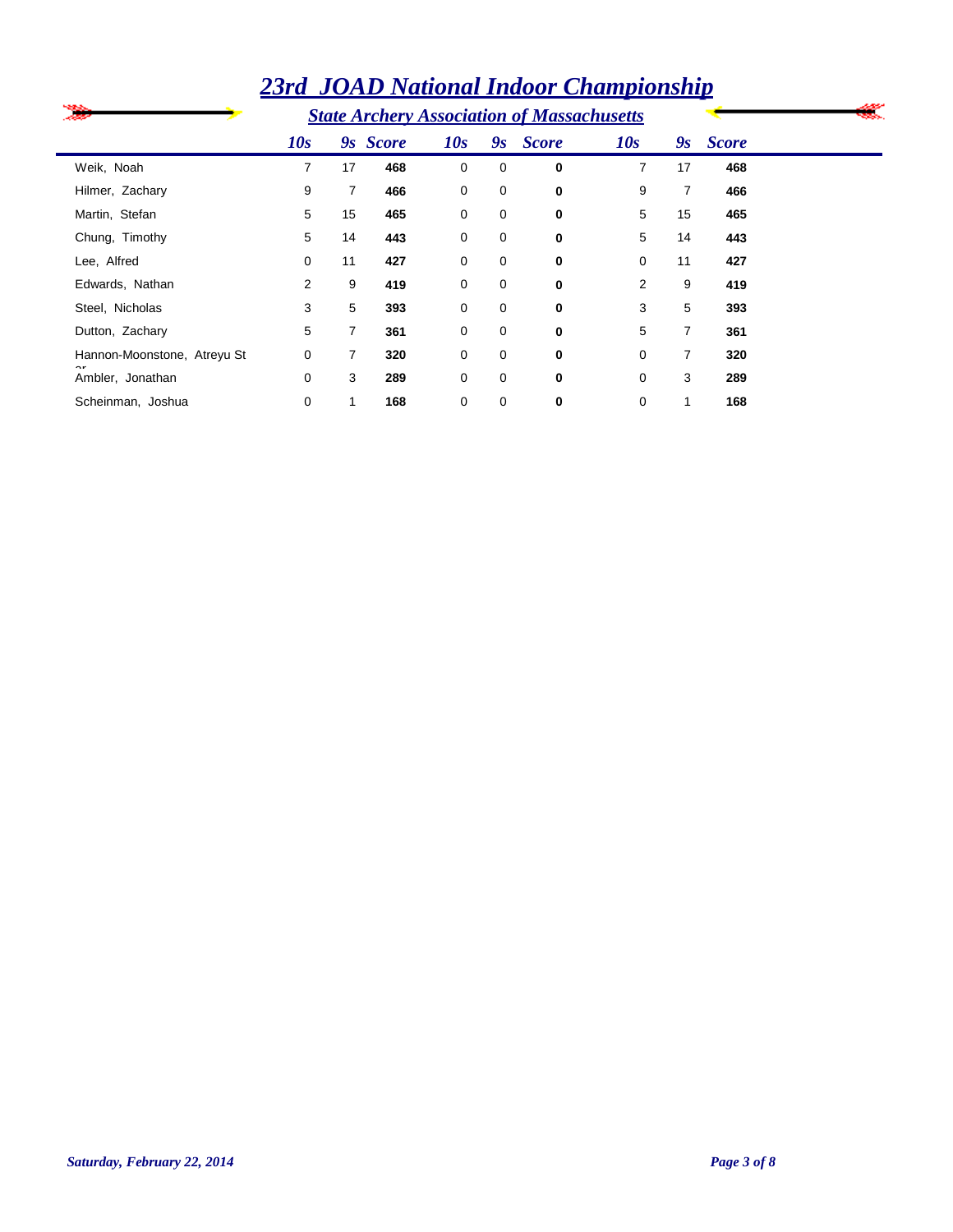| æ                           |                |                | <b>State Archery Association of Massachusetts</b> |     |    |              |     |                |              |  |
|-----------------------------|----------------|----------------|---------------------------------------------------|-----|----|--------------|-----|----------------|--------------|--|
|                             | 10s            |                | 9s Score                                          | 10s | 9s | <b>Score</b> | 10s | 9s             | <b>Score</b> |  |
| Weik, Noah                  | 7              | 17             | 468                                               | 0   | 0  | 0            | 7   | 17             | 468          |  |
| Hilmer, Zachary             | 9              | $\overline{7}$ | 466                                               | 0   | 0  | 0            | 9   | 7              | 466          |  |
| Martin, Stefan              | 5              | 15             | 465                                               | 0   | 0  | 0            | 5   | 15             | 465          |  |
| Chung, Timothy              | 5              | 14             | 443                                               | 0   | 0  | 0            | 5   | 14             | 443          |  |
| Lee, Alfred                 | 0              | 11             | 427                                               | 0   | 0  | 0            | 0   | 11             | 427          |  |
| Edwards, Nathan             | $\overline{2}$ | 9              | 419                                               | 0   | 0  | $\bf{0}$     | 2   | 9              | 419          |  |
| Steel, Nicholas             | 3              | 5              | 393                                               | 0   | 0  | 0            | 3   | 5              | 393          |  |
| Dutton, Zachary             | 5              | $\overline{7}$ | 361                                               | 0   | 0  | 0            | 5   | $\overline{7}$ | 361          |  |
| Hannon-Moonstone, Atreyu St | 0              | 7              | 320                                               | 0   | 0  | 0            | 0   | 7              | 320          |  |
| ~r<br>Ambler, Jonathan      | 0              | 3              | 289                                               | 0   | 0  | 0            | 0   | 3              | 289          |  |
| Scheinman, Joshua           | 0              |                | 168                                               | 0   | 0  | 0            | 0   |                | 168          |  |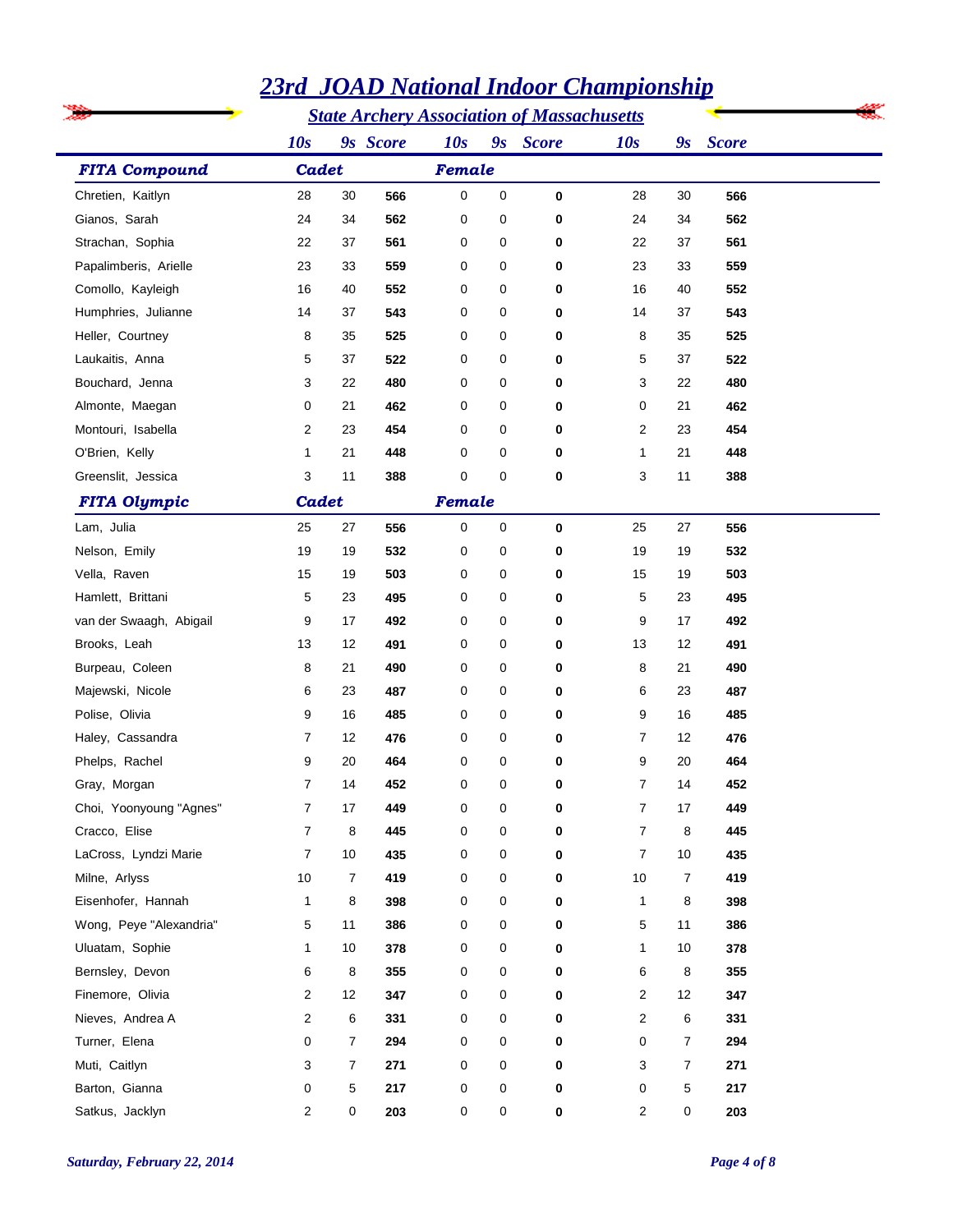|                         |                |                | <b>State Archery Association of Massachusetts</b> |             |         |              |                |    |              |  |
|-------------------------|----------------|----------------|---------------------------------------------------|-------------|---------|--------------|----------------|----|--------------|--|
|                         | 10s            |                | 9s Score                                          | 10s         | $g_{S}$ | <b>Score</b> | 10s            | 9s | <b>Score</b> |  |
| <b>FITA Compound</b>    | Cadet          |                |                                                   | Female      |         |              |                |    |              |  |
| Chretien, Kaitlyn       | 28             | 30             | 566                                               | $\mathbf 0$ | 0       | 0            | 28             | 30 | 566          |  |
| Gianos, Sarah           | 24             | 34             | 562                                               | 0           | 0       | 0            | 24             | 34 | 562          |  |
| Strachan, Sophia        | 22             | 37             | 561                                               | 0           | 0       | 0            | 22             | 37 | 561          |  |
| Papalimberis, Arielle   | 23             | 33             | 559                                               | 0           | 0       | 0            | 23             | 33 | 559          |  |
| Comollo, Kayleigh       | 16             | 40             | 552                                               | 0           | 0       | 0            | 16             | 40 | 552          |  |
| Humphries, Julianne     | 14             | 37             | 543                                               | 0           | 0       | 0            | 14             | 37 | 543          |  |
| Heller, Courtney        | 8              | 35             | 525                                               | 0           | 0       | 0            | 8              | 35 | 525          |  |
| Laukaitis, Anna         | 5              | 37             | 522                                               | 0           | 0       | 0            | 5              | 37 | 522          |  |
| Bouchard, Jenna         | 3              | 22             | 480                                               | 0           | 0       | 0            | 3              | 22 | 480          |  |
| Almonte, Maegan         | 0              | 21             | 462                                               | 0           | 0       | 0            | 0              | 21 | 462          |  |
| Montouri, Isabella      | 2              | 23             | 454                                               | 0           | 0       | 0            | 2              | 23 | 454          |  |
| O'Brien, Kelly          | 1              | 21             | 448                                               | 0           | 0       | 0            | 1              | 21 | 448          |  |
| Greenslit, Jessica      | 3              | 11             | 388                                               | 0           | 0       | 0            | 3              | 11 | 388          |  |
| <b>FITA Olympic</b>     | Cadet          |                |                                                   | Female      |         |              |                |    |              |  |
| Lam, Julia              | 25             | 27             | 556                                               | 0           | 0       | 0            | 25             | 27 | 556          |  |
| Nelson, Emily           | 19             | 19             | 532                                               | 0           | 0       | 0            | 19             | 19 | 532          |  |
| Vella, Raven            | 15             | 19             | 503                                               | 0           | 0       | 0            | 15             | 19 | 503          |  |
| Hamlett, Brittani       | 5              | 23             | 495                                               | 0           | 0       | 0            | 5              | 23 | 495          |  |
| van der Swaagh, Abigail | 9              | 17             | 492                                               | 0           | 0       | 0            | 9              | 17 | 492          |  |
| Brooks, Leah            | 13             | 12             | 491                                               | 0           | 0       | 0            | 13             | 12 | 491          |  |
| Burpeau, Coleen         | 8              | 21             | 490                                               | 0           | 0       | 0            | 8              | 21 | 490          |  |
| Majewski, Nicole        | 6              | 23             | 487                                               | 0           | 0       | 0            | 6              | 23 | 487          |  |
| Polise, Olivia          | 9              | 16             | 485                                               | 0           | 0       | 0            | 9              | 16 | 485          |  |
| Haley, Cassandra        | $\overline{7}$ | 12             | 476                                               | 0           | 0       | 0            | $\overline{7}$ | 12 | 476          |  |
| Phelps, Rachel          | 9              | 20             | 464                                               | 0           | 0       | 0            | 9              | 20 | 464          |  |
| Gray, Morgan            | 7              | 14             | 452                                               | 0           | 0       | 0            | $\overline{7}$ | 14 | 452          |  |
| Choi, Yoonyoung "Agnes" | $\overline{7}$ | 17             | 449                                               | 0           | 0       | 0            | $\overline{7}$ | 17 | 449          |  |
| Cracco, Elise           | $\overline{7}$ | 8              | 445                                               | 0           | 0       | 0            | $\overline{7}$ | 8  | 445          |  |
| LaCross, Lyndzi Marie   | $\overline{7}$ | 10             | 435                                               | 0           | 0       | 0            | $\overline{7}$ | 10 | 435          |  |
| Milne, Arlyss           | 10             | $\overline{7}$ | 419                                               | 0           | 0       | 0            | 10             | 7  | 419          |  |
| Eisenhofer, Hannah      | 1              | 8              | 398                                               | 0           | 0       | 0            | $\mathbf{1}$   | 8  | 398          |  |
| Wong, Peye "Alexandria" | 5              | 11             | 386                                               | 0           | 0       | 0            | 5              | 11 | 386          |  |
| Uluatam, Sophie         | 1              | 10             | 378                                               | 0           | 0       | 0            | $\mathbf{1}$   | 10 | 378          |  |
| Bernsley, Devon         | 6              | 8              | 355                                               | 0           | 0       | 0            | 6              | 8  | 355          |  |
| Finemore, Olivia        | 2              | 12             | 347                                               | 0           | 0       | 0            | $\overline{2}$ | 12 | 347          |  |
| Nieves, Andrea A        | $\overline{c}$ | 6              | 331                                               | 0           | 0       | 0            | $\overline{2}$ | 6  | 331          |  |
| Turner, Elena           | $\mathbf 0$    | $\overline{7}$ | 294                                               | 0           | 0       | 0            | 0              | 7  | 294          |  |
| Muti, Caitlyn           | 3              | $\overline{7}$ | 271                                               | 0           | 0       | 0            | 3              | 7  | 271          |  |
| Barton, Gianna          | 0              | 5              | 217                                               | 0           | 0       | 0            | 0              | 5  | 217          |  |
| Satkus, Jacklyn         | $\overline{2}$ | 0              | 203                                               | 0           | 0       | $\mathbf 0$  | $\overline{2}$ | 0  | 203          |  |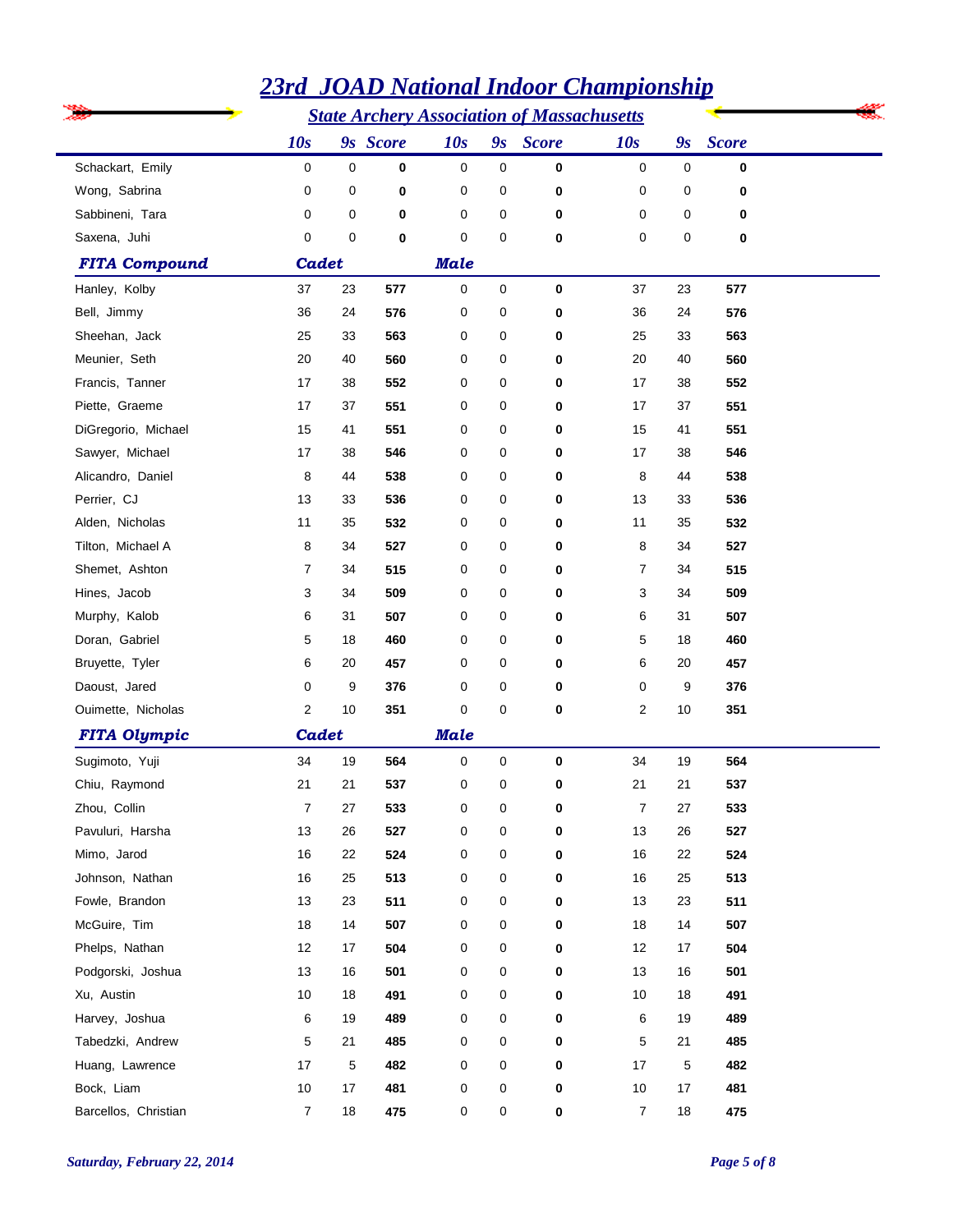|                      | <b>State Archery Association of Massachusetts</b> |    |          |             |             |             |                |    |              |  |  |  |
|----------------------|---------------------------------------------------|----|----------|-------------|-------------|-------------|----------------|----|--------------|--|--|--|
|                      | 10s                                               |    | 9s Score | 10s         |             | 9s Score    | 10s            | 9s | <b>Score</b> |  |  |  |
| Schackart, Emily     | 0                                                 | 0  | 0        | 0           | $\mathbf 0$ | $\bf{0}$    | 0              | 0  | 0            |  |  |  |
| Wong, Sabrina        | 0                                                 | 0  | 0        | 0           | 0           | 0           | 0              | 0  | 0            |  |  |  |
| Sabbineni, Tara      | 0                                                 | 0  | 0        | 0           | 0           | 0           | 0              | 0  | 0            |  |  |  |
| Saxena, Juhi         | 0                                                 | 0  | 0        | 0           | 0           | 0           | 0              | 0  | 0            |  |  |  |
| <b>FITA Compound</b> | Cadet                                             |    |          | <b>Male</b> |             |             |                |    |              |  |  |  |
| Hanley, Kolby        | 37                                                | 23 | 577      | 0           | 0           | $\bf{0}$    | 37             | 23 | 577          |  |  |  |
| Bell, Jimmy          | 36                                                | 24 | 576      | 0           | 0           | 0           | 36             | 24 | 576          |  |  |  |
| Sheehan, Jack        | 25                                                | 33 | 563      | 0           | 0           | 0           | 25             | 33 | 563          |  |  |  |
| Meunier, Seth        | 20                                                | 40 | 560      | 0           | 0           | 0           | 20             | 40 | 560          |  |  |  |
| Francis, Tanner      | 17                                                | 38 | 552      | 0           | 0           | 0           | 17             | 38 | 552          |  |  |  |
| Piette, Graeme       | 17                                                | 37 | 551      | 0           | 0           | 0           | 17             | 37 | 551          |  |  |  |
| DiGregorio, Michael  | 15                                                | 41 | 551      | 0           | 0           | 0           | 15             | 41 | 551          |  |  |  |
| Sawyer, Michael      | 17                                                | 38 | 546      | 0           | 0           | 0           | 17             | 38 | 546          |  |  |  |
| Alicandro, Daniel    | 8                                                 | 44 | 538      | 0           | 0           | 0           | 8              | 44 | 538          |  |  |  |
| Perrier, CJ          | 13                                                | 33 | 536      | 0           | 0           | 0           | 13             | 33 | 536          |  |  |  |
| Alden, Nicholas      | 11                                                | 35 | 532      | 0           | 0           | 0           | 11             | 35 | 532          |  |  |  |
| Tilton, Michael A    | 8                                                 | 34 | 527      | 0           | 0           | 0           | 8              | 34 | 527          |  |  |  |
| Shemet, Ashton       | 7                                                 | 34 | 515      | 0           | 0           | 0           | 7              | 34 | 515          |  |  |  |
| Hines, Jacob         | 3                                                 | 34 | 509      | 0           | 0           | 0           | 3              | 34 | 509          |  |  |  |
| Murphy, Kalob        | 6                                                 | 31 | 507      | 0           | 0           | 0           | 6              | 31 | 507          |  |  |  |
| Doran, Gabriel       | 5                                                 | 18 | 460      | 0           | 0           | 0           | 5              | 18 | 460          |  |  |  |
| Bruyette, Tyler      | 6                                                 | 20 | 457      | 0           | 0           | 0           | 6              | 20 | 457          |  |  |  |
| Daoust, Jared        | 0                                                 | 9  | 376      | 0           | 0           | 0           | 0              | 9  | 376          |  |  |  |
| Ouimette, Nicholas   | 2                                                 | 10 | 351      | 0           | $\mathbf 0$ | $\bf{0}$    | 2              | 10 | 351          |  |  |  |
| <b>FITA Olympic</b>  | Cadet                                             |    |          | <b>Male</b> |             |             |                |    |              |  |  |  |
| Sugimoto, Yuji       | 34                                                | 19 | 564      | 0           | 0           | $\bf{0}$    | 34             | 19 | 564          |  |  |  |
| Chiu, Raymond        | 21                                                | 21 | 537      | 0           | 0           | 0           | 21             | 21 | 537          |  |  |  |
| Zhou, Collin         | 7                                                 | 27 | 533      | 0           | 0           | 0           | $\overline{7}$ | 27 | 533          |  |  |  |
| Pavuluri, Harsha     | 13                                                | 26 | 527      | 0           | 0           | $\bf{0}$    | 13             | 26 | 527          |  |  |  |
| Mimo, Jarod          | 16                                                | 22 | 524      | 0           | 0           | $\bf{0}$    | 16             | 22 | 524          |  |  |  |
| Johnson, Nathan      | 16                                                | 25 | 513      | 0           | 0           | $\mathbf 0$ | 16             | 25 | 513          |  |  |  |
| Fowle, Brandon       | 13                                                | 23 | 511      | 0           | 0           | 0           | 13             | 23 | 511          |  |  |  |
| McGuire, Tim         | 18                                                | 14 | 507      | 0           | 0           | $\bf{0}$    | 18             | 14 | 507          |  |  |  |
| Phelps, Nathan       | 12                                                | 17 | 504      | 0           | 0           | 0           | 12             | 17 | 504          |  |  |  |
| Podgorski, Joshua    | 13                                                | 16 | 501      | 0           | 0           | $\mathbf 0$ | 13             | 16 | 501          |  |  |  |
| Xu, Austin           | 10                                                | 18 | 491      | 0           | 0           | 0           | 10             | 18 | 491          |  |  |  |
| Harvey, Joshua       | 6                                                 | 19 | 489      | 0           | 0           | $\bf{0}$    | 6              | 19 | 489          |  |  |  |
| Tabedzki, Andrew     | 5                                                 | 21 | 485      | 0           | 0           | 0           | 5              | 21 | 485          |  |  |  |
| Huang, Lawrence      | 17                                                | 5  | 482      | 0           | 0           | $\mathbf 0$ | 17             | 5  | 482          |  |  |  |
| Bock, Liam           | 10                                                | 17 | 481      | 0           | 0           | $\mathbf 0$ | 10             | 17 | 481          |  |  |  |
| Barcellos, Christian | $\overline{7}$                                    | 18 | 475      | 0           | 0           | $\mathbf 0$ | $\overline{7}$ | 18 | 475          |  |  |  |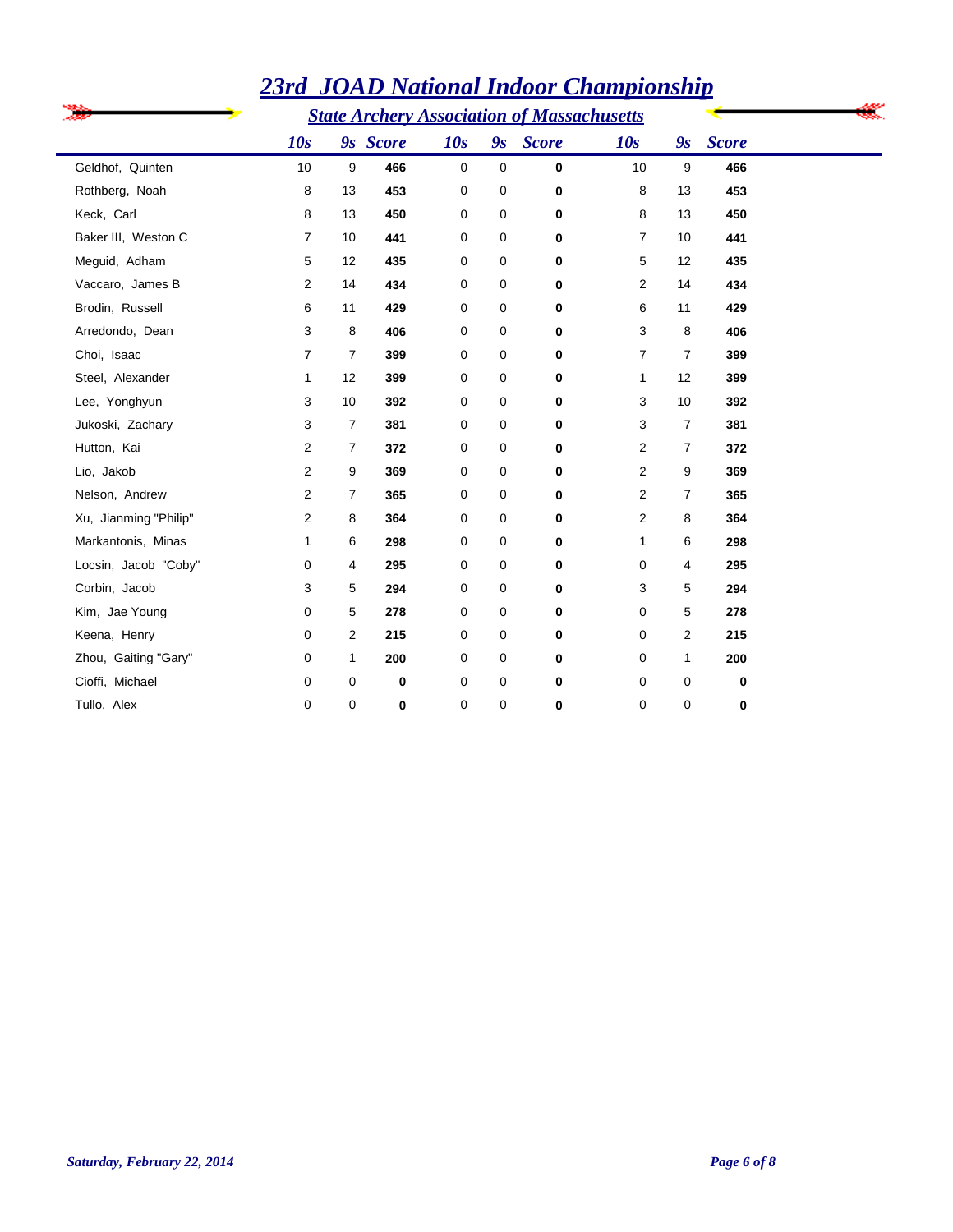|                       |                | <b>State Archery Association of Massachusetts</b> |          |             |   |                      |                |                |              |  |
|-----------------------|----------------|---------------------------------------------------|----------|-------------|---|----------------------|----------------|----------------|--------------|--|
|                       | 10s            |                                                   | 9s Score | 10s         |   | 9 <sub>s</sub> Score | 10s            | 9s             | <b>Score</b> |  |
| Geldhof, Quinten      | 10             | 9                                                 | 466      | $\mathbf 0$ | 0 | 0                    | 10             | 9              | 466          |  |
| Rothberg, Noah        | 8              | 13                                                | 453      | 0           | 0 | 0                    | 8              | 13             | 453          |  |
| Keck, Carl            | 8              | 13                                                | 450      | 0           | 0 | 0                    | 8              | 13             | 450          |  |
| Baker III, Weston C   | 7              | 10                                                | 441      | 0           | 0 | $\mathbf 0$          | $\overline{7}$ | 10             | 441          |  |
| Meguid, Adham         | 5              | 12                                                | 435      | 0           | 0 | 0                    | 5              | 12             | 435          |  |
| Vaccaro, James B      | 2              | 14                                                | 434      | 0           | 0 | 0                    | 2              | 14             | 434          |  |
| Brodin, Russell       | 6              | 11                                                | 429      | 0           | 0 | 0                    | 6              | 11             | 429          |  |
| Arredondo, Dean       | 3              | 8                                                 | 406      | 0           | 0 | 0                    | 3              | 8              | 406          |  |
| Choi, Isaac           | $\overline{7}$ | $\overline{7}$                                    | 399      | 0           | 0 | 0                    | $\overline{7}$ | $\overline{7}$ | 399          |  |
| Steel, Alexander      | 1              | 12                                                | 399      | 0           | 0 | 0                    | $\mathbf{1}$   | 12             | 399          |  |
| Lee, Yonghyun         | 3              | 10                                                | 392      | $\mathbf 0$ | 0 | 0                    | 3              | 10             | 392          |  |
| Jukoski, Zachary      | 3              | $\overline{7}$                                    | 381      | 0           | 0 | 0                    | 3              | $\overline{7}$ | 381          |  |
| Hutton, Kai           | 2              | $\overline{7}$                                    | 372      | 0           | 0 | 0                    | 2              | $\overline{7}$ | 372          |  |
| Lio, Jakob            | 2              | 9                                                 | 369      | 0           | 0 | 0                    | 2              | 9              | 369          |  |
| Nelson, Andrew        | 2              | $\overline{7}$                                    | 365      | 0           | 0 | 0                    | 2              | 7              | 365          |  |
| Xu, Jianming "Philip" | 2              | 8                                                 | 364      | 0           | 0 | 0                    | $\overline{2}$ | 8              | 364          |  |
| Markantonis, Minas    | 1              | 6                                                 | 298      | 0           | 0 | 0                    | 1              | 6              | 298          |  |
| Locsin, Jacob "Coby"  | 0              | 4                                                 | 295      | 0           | 0 | 0                    | 0              | 4              | 295          |  |
| Corbin, Jacob         | 3              | 5                                                 | 294      | 0           | 0 | 0                    | 3              | 5              | 294          |  |
| Kim, Jae Young        | 0              | 5                                                 | 278      | 0           | 0 | 0                    | 0              | 5              | 278          |  |
| Keena, Henry          | 0              | 2                                                 | 215      | 0           | 0 | 0                    | 0              | $\overline{2}$ | 215          |  |
| Zhou, Gaiting "Gary"  | 0              | 1                                                 | 200      | 0           | 0 | 0                    | 0              | 1              | 200          |  |
| Cioffi, Michael       | 0              | 0                                                 | 0        | $\mathbf 0$ | 0 | 0                    | 0              | 0              | $\bf{0}$     |  |
| Tullo, Alex           | $\mathbf 0$    | $\mathbf 0$                                       | 0        | $\mathbf 0$ | 0 | 0                    | $\mathbf 0$    | $\mathbf 0$    | $\bf{0}$     |  |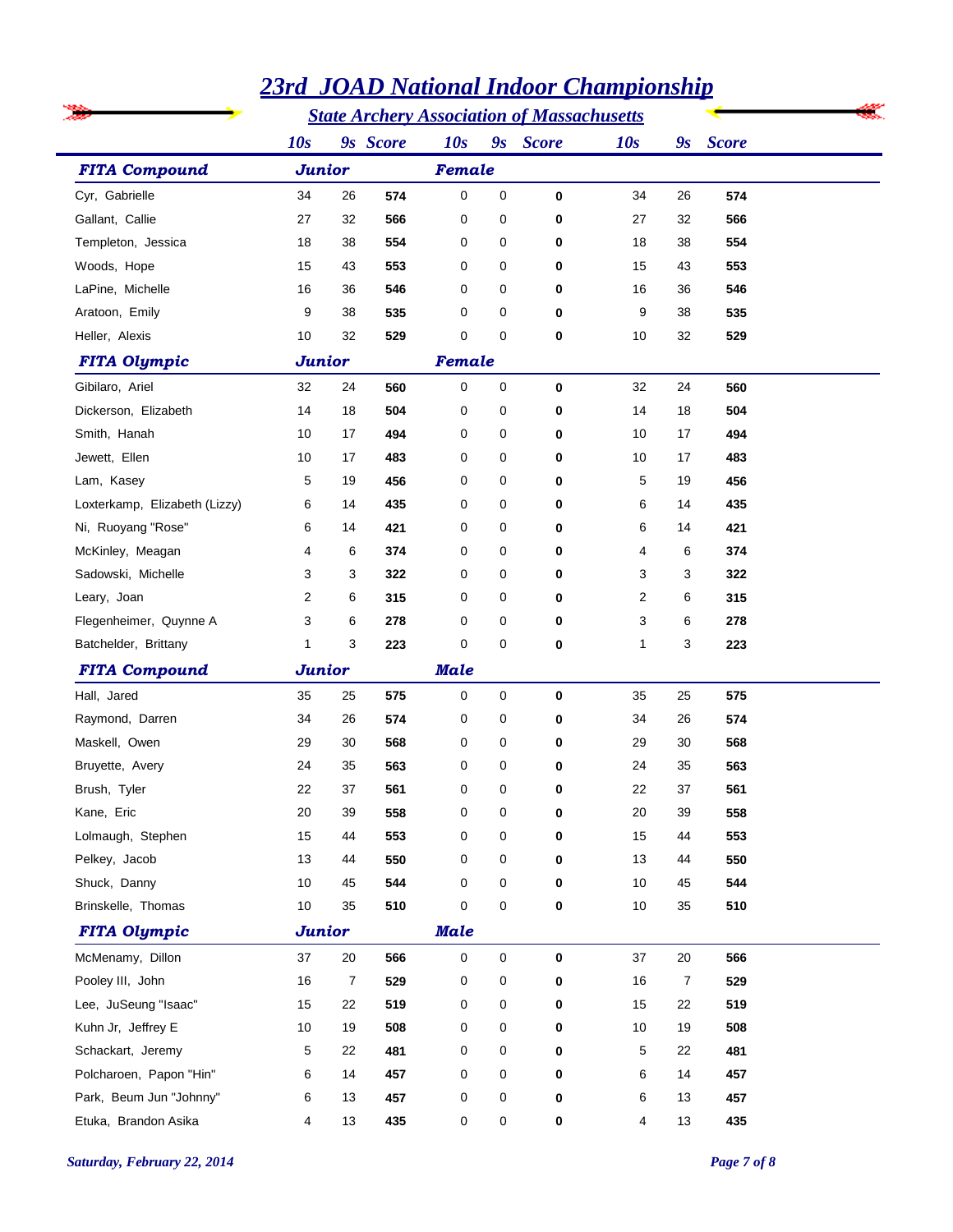|                               |               |    |          |             |                     | <u> 3 01112 гушилний тийдэг ститрионын р</u><br><b>State Archery Association of Massachusetts</b> |              |    |              |
|-------------------------------|---------------|----|----------|-------------|---------------------|---------------------------------------------------------------------------------------------------|--------------|----|--------------|
|                               | 10s           |    | 9s Score |             |                     | 9s Score                                                                                          |              |    |              |
|                               |               |    |          | 10s         |                     |                                                                                                   | 10s          | 9s | <b>Score</b> |
| <b>FITA Compound</b>          | <b>Junior</b> |    |          | Female      |                     |                                                                                                   |              |    |              |
| Cyr, Gabrielle                | 34            | 26 | 574      | $\mathbf 0$ | $\mathbf 0$         | $\bf{0}$                                                                                          | 34           | 26 | 574          |
| Gallant, Callie               | 27            | 32 | 566      | 0           | 0                   | 0                                                                                                 | 27           | 32 | 566          |
| Templeton, Jessica            | 18            | 38 | 554      | 0           | 0                   | 0                                                                                                 | 18           | 38 | 554          |
| Woods, Hope                   | 15            | 43 | 553      | 0           | 0                   | 0                                                                                                 | 15           | 43 | 553          |
| LaPine, Michelle              | 16            | 36 | 546      | 0           | 0                   | 0                                                                                                 | 16           | 36 | 546          |
| Aratoon, Emily                | 9             | 38 | 535      | 0           | 0                   | 0                                                                                                 | 9            | 38 | 535          |
| Heller, Alexis                | 10            | 32 | 529      | 0           | 0                   | 0                                                                                                 | 10           | 32 | 529          |
| <b>FITA Olympic</b>           | <b>Junior</b> |    |          | Female      |                     |                                                                                                   |              |    |              |
| Gibilaro, Ariel               | 32            | 24 | 560      | 0           | $\mathbf 0$         | 0                                                                                                 | 32           | 24 | 560          |
| Dickerson, Elizabeth          | 14            | 18 | 504      | 0           | 0                   | 0                                                                                                 | 14           | 18 | 504          |
| Smith, Hanah                  | 10            | 17 | 494      | 0           | 0                   | 0                                                                                                 | 10           | 17 | 494          |
| Jewett, Ellen                 | 10            | 17 | 483      | 0           | 0                   | 0                                                                                                 | 10           | 17 | 483          |
| Lam, Kasey                    | 5             | 19 | 456      | 0           | 0                   | 0                                                                                                 | 5            | 19 | 456          |
| Loxterkamp, Elizabeth (Lizzy) | 6             | 14 | 435      | 0           | 0                   | 0                                                                                                 | 6            | 14 | 435          |
| Ni, Ruoyang "Rose"            | 6             | 14 | 421      | 0           | 0                   | 0                                                                                                 | 6            | 14 | 421          |
| McKinley, Meagan              | 4             | 6  | 374      | 0           | 0                   | 0                                                                                                 | 4            | 6  | 374          |
| Sadowski, Michelle            | 3             | 3  | 322      | 0           | 0                   | 0                                                                                                 | 3            | 3  | 322          |
| Leary, Joan                   | 2             | 6  | 315      | 0           | 0                   | 0                                                                                                 | 2            | 6  | 315          |
| Flegenheimer, Quynne A        | 3             | 6  | 278      | 0           | 0                   | 0                                                                                                 | 3            | 6  | 278          |
| Batchelder, Brittany          | 1             | 3  | 223      | 0           | 0                   | $\mathbf 0$                                                                                       | $\mathbf{1}$ | 3  | 223          |
| <b>FITA Compound</b>          | <b>Junior</b> |    |          | <b>Male</b> |                     |                                                                                                   |              |    |              |
| Hall, Jared                   | 35            | 25 | 575      | 0           | 0                   | 0                                                                                                 | 35           | 25 | 575          |
| Raymond, Darren               | 34            | 26 | 574      | 0           | 0                   | 0                                                                                                 | 34           | 26 | 574          |
| Maskell, Owen                 | 29            | 30 | 568      | 0           | 0                   | 0                                                                                                 | 29           | 30 | 568          |
| Bruyette, Avery               | 24            | 35 | 563      | 0           | 0                   | $\mathbf 0$                                                                                       | 24           | 35 | 563          |
| Brush, Tyler                  | 22            | 37 | 561      | 0           | 0                   | 0                                                                                                 | 22           | 37 | 561          |
| Kane, Eric                    | 20            | 39 | 558      | 0           | 0                   | 0                                                                                                 | 20           | 39 | 558          |
| Lolmaugh, Stephen             | 15            | 44 | 553      | 0           | 0                   | 0                                                                                                 | 15           | 44 | 553          |
| Pelkey, Jacob                 | 13            | 44 | 550      | 0           | 0                   | 0                                                                                                 | 13           | 44 | 550          |
| Shuck, Danny                  | 10            | 45 | 544      | 0           | 0                   | 0                                                                                                 | 10           | 45 | 544          |
| Brinskelle, Thomas            | 10            | 35 | 510      | 0           | 0                   | 0                                                                                                 | 10           | 35 | 510          |
| <b>FITA Olympic</b>           | <b>Junior</b> |    |          | <b>Male</b> |                     |                                                                                                   |              |    |              |
| McMenamy, Dillon              | 37            | 20 | 566      | $\mathsf 0$ | $\mathsf{O}\xspace$ | 0                                                                                                 | 37           | 20 | 566          |
| Pooley III, John              | 16            | 7  | 529      | 0           | 0                   | 0                                                                                                 | 16           | 7  | 529          |
| Lee, JuSeung "Isaac"          | 15            | 22 | 519      | 0           | 0                   | 0                                                                                                 | 15           | 22 | 519          |
| Kuhn Jr, Jeffrey E            | 10            | 19 | 508      | 0           | 0                   | 0                                                                                                 | 10           | 19 | 508          |
| Schackart, Jeremy             | 5             | 22 | 481      | 0           | 0                   | 0                                                                                                 | 5            | 22 | 481          |
| Polcharoen, Papon "Hin"       | 6             | 14 | 457      | 0           | 0                   | 0                                                                                                 | 6            | 14 | 457          |
| Park, Beum Jun "Johnny"       | 6             | 13 | 457      | 0           | 0                   | 0                                                                                                 | 6            | 13 | 457          |
| Etuka, Brandon Asika          | 4             | 13 | 435      | 0           | 0                   | 0                                                                                                 | 4            | 13 | 435          |
|                               |               |    |          |             |                     |                                                                                                   |              |    |              |